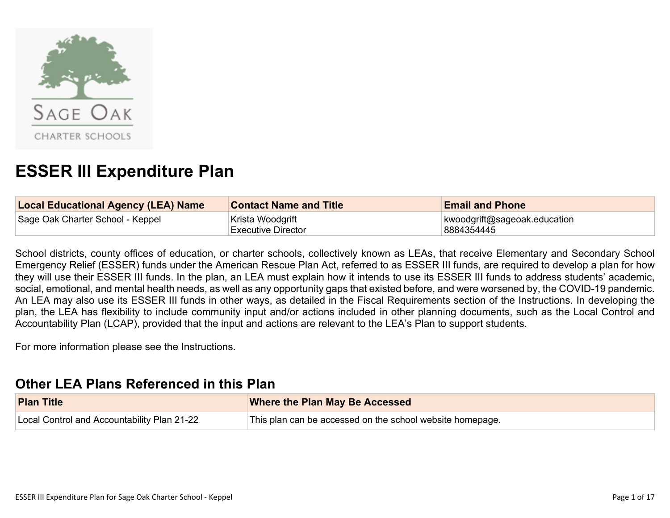

# **ESSER III Expenditure Plan**

| <b>Local Educational Agency (LEA) Name</b> | <b>Contact Name and Title</b>                 | <b>Email and Phone</b>                     |
|--------------------------------------------|-----------------------------------------------|--------------------------------------------|
| Sage Oak Charter School - Keppel           | Krista Woodgrift<br><b>Executive Director</b> | kwoodgrift@sageoak.education<br>8884354445 |

School districts, county offices of education, or charter schools, collectively known as LEAs, that receive Elementary and Secondary School Emergency Relief (ESSER) funds under the American Rescue Plan Act, referred to as ESSER III funds, are required to develop a plan for how they will use their ESSER III funds. In the plan, an LEA must explain how it intends to use its ESSER III funds to address students' academic, social, emotional, and mental health needs, as well as any opportunity gaps that existed before, and were worsened by, the COVID-19 pandemic. An LEA may also use its ESSER III funds in other ways, as detailed in the Fiscal Requirements section of the Instructions. In developing the plan, the LEA has flexibility to include community input and/or actions included in other planning documents, such as the Local Control and Accountability Plan (LCAP), provided that the input and actions are relevant to the LEA's Plan to support students.

For more information please see the Instructions.

## **Other LEA Plans [Referenced](#page-11-0) in this Plan**

| <b>Plan Title</b>                           | <b>Where the Plan May Be Accessed</b>                     |
|---------------------------------------------|-----------------------------------------------------------|
| Local Control and Accountability Plan 21-22 | This plan can be accessed on the school website homepage. |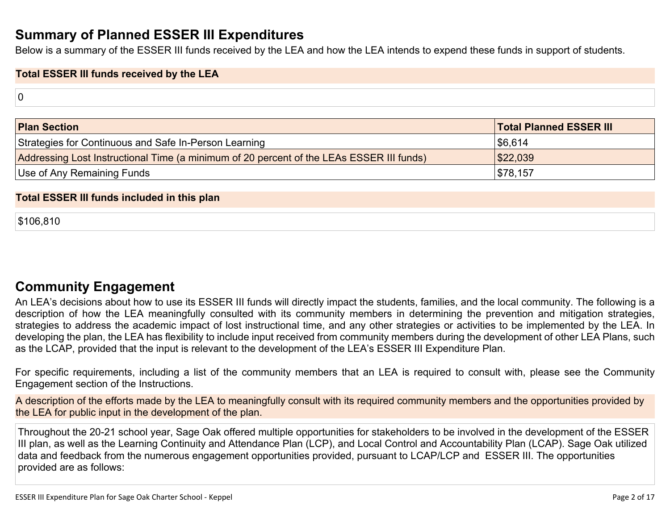## **Summary of Planned ESSER III [Expenditures](#page-11-1)**

Below is a summary of the ESSER III funds received by the LEA and how the LEA intends to expend these funds in support of students.

#### **Total ESSER III funds received by the LEA**

0

| <b>Plan Section</b>                                                                      | <b>Total Planned ESSER III</b> |
|------------------------------------------------------------------------------------------|--------------------------------|
| Strategies for Continuous and Safe In-Person Learning                                    | \$6,614                        |
| Addressing Lost Instructional Time (a minimum of 20 percent of the LEAs ESSER III funds) | \$22,039                       |
| Use of Any Remaining Funds                                                               | \$78,157                       |

#### **Total ESSER III funds included in this plan**

\$106,810

## **Community [Engagement](#page-12-0)**

An LEA's decisions about how to use its ESSER III funds will directly impact the students, families, and the local community. The following is a description of how the LEA meaningfully consulted with its community members in determining the prevention and mitigation strategies, strategies to address the academic impact of lost instructional time, and any other strategies or activities to be implemented by the LEA. In developing the plan, the LEA has flexibility to include input received from community members during the development of other LEA Plans, such as the LCAP, provided that the input is relevant to the development of the LEA's ESSER III Expenditure Plan.

For specific requirements, including a list of the community members that an LEA is required to consult with, please see the Community Engagement section of the Instructions.

A description of the efforts made by the LEA to meaningfully consult with its required community members and the opportunities provided by the LEA for public input in the development of the plan.

Throughout the 20-21 school year, Sage Oak offered multiple opportunities for stakeholders to be involved in the development of the ESSER III plan, as well as the Learning Continuity and Attendance Plan (LCP), and Local Control and Accountability Plan (LCAP). Sage Oak utilized data and feedback from the numerous engagement opportunities provided, pursuant to LCAP/LCP and ESSER III. The opportunities provided are as follows: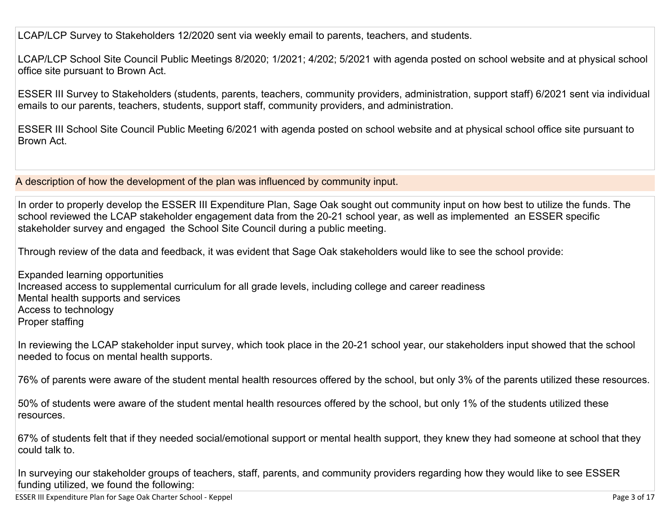LCAP/LCP Survey to Stakeholders 12/2020 sent via weekly email to parents, teachers, and students.

LCAP/LCP School Site Council Public Meetings 8/2020; 1/2021; 4/202; 5/2021 with agenda posted on school website and at physical school office site pursuant to Brown Act.

ESSER III Survey to Stakeholders (students, parents, teachers, community providers, administration, support staff) 6/2021 sent via individual emails to our parents, teachers, students, support staff, community providers, and administration.

ESSER III School Site Council Public Meeting 6/2021 with agenda posted on school website and at physical school office site pursuant to Brown Act.

A description of how the development of the plan was influenced by community input.

In order to properly develop the ESSER III Expenditure Plan, Sage Oak sought out community input on how best to utilize the funds. The school reviewed the LCAP stakeholder engagement data from the 20-21 school year, as well as implemented an ESSER specific stakeholder survey and engaged the School Site Council during a public meeting.

Through review of the data and feedback, it was evident that Sage Oak stakeholders would like to see the school provide:

Expanded learning opportunities Increased access to supplemental curriculum for all grade levels, including college and career readiness Mental health supports and services Access to technology Proper staffing

In reviewing the LCAP stakeholder input survey, which took place in the 20-21 school year, our stakeholders input showed that the school needed to focus on mental health supports.

76% of parents were aware of the student mental health resources offered by the school, but only 3% of the parents utilized these resources.

50% of students were aware of the student mental health resources offered by the school, but only 1% of the students utilized these resources.

67% of students felt that if they needed social/emotional support or mental health support, they knew they had someone at school that they could talk to.

In surveying our stakeholder groups of teachers, staff, parents, and community providers regarding how they would like to see ESSER funding utilized, we found the following: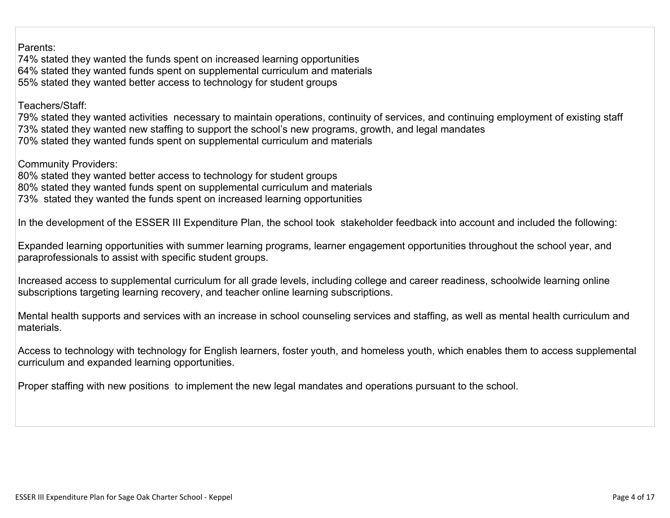Parents:

74% stated they wanted the funds spent on increased learning opportunities 64% stated they wanted funds spent on supplemental curriculum and materials 55% stated they wanted better access to technology for student groups

Teachers/Staff:

79% stated they wanted activities necessary to maintain operations, continuity of services, and continuing employment of existing staff 73% stated they wanted new staffing to support the school's new programs, growth, and legal mandates 70% stated they wanted funds spent on supplemental curriculum and materials

Community Providers:

80% stated they wanted better access to technology for student groups

80% stated they wanted funds spent on supplemental curriculum and materials

73% stated they wanted the funds spent on increased learning opportunities

In the development of the ESSER III Expenditure Plan, the school took stakeholder feedback into account and included the following:

Expanded learning opportunities with summer learning programs, learner engagement opportunities throughout the school year, and paraprofessionals to assist with specific student groups.

Increased access to supplemental curriculum for all grade levels, including college and career readiness, schoolwide learning online subscriptions targeting learning recovery, and teacher online learning subscriptions.

Mental health supports and services with an increase in school counseling services and staffing, as well as mental health curriculum and materials.

Access to technology with technology for English learners, foster youth, and homeless youth, which enables them to access supplemental curriculum and expanded learning opportunities.

Proper staffing with new positions to implement the new legal mandates and operations pursuant to the school.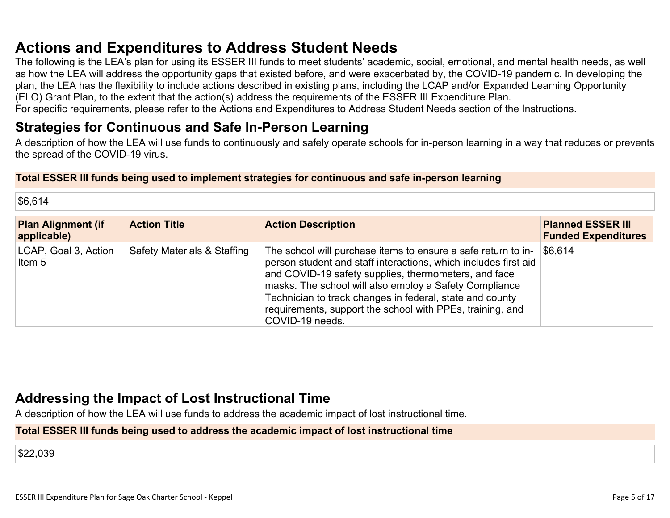## **Actions and [Expenditures](#page-14-0) to Address Student Needs**

The following is the LEA's plan for using its ESSER III funds to meet students' academic, social, emotional, and mental health needs, as well as how the LEA will address the opportunity gaps that existed before, and were exacerbated by, the COVID-19 pandemic. In developing the plan, the LEA has the flexibility to include actions described in existing plans, including the LCAP and/or Expanded Learning Opportunity (ELO) Grant Plan, to the extent that the action(s) address the requirements of the ESSER III Expenditure Plan. For specific requirements, please refer to the Actions and Expenditures to Address Student Needs section of the Instructions.

## **Strategies for [Continuous](#page-14-1) and Safe In-Person Learning**

A description of how the LEA will use funds to continuously and safely operate schools for in-person learning in a way that reduces or prevents the spread of the COVID-19 virus.

#### **Total ESSER III funds being used to implement strategies for continuous and safe in-person learning**

| \$6,614                                  |                             |                                                                                                                                                                                                                                                                                                                                                                                                |                                                        |
|------------------------------------------|-----------------------------|------------------------------------------------------------------------------------------------------------------------------------------------------------------------------------------------------------------------------------------------------------------------------------------------------------------------------------------------------------------------------------------------|--------------------------------------------------------|
| <b>Plan Alignment (if</b><br>applicable) | <b>Action Title</b>         | <b>Action Description</b>                                                                                                                                                                                                                                                                                                                                                                      | <b>Planned ESSER III</b><br><b>Funded Expenditures</b> |
| LCAP, Goal 3, Action<br>Item 5           | Safety Materials & Staffing | The school will purchase items to ensure a safe return to in-<br>person student and staff interactions, which includes first aid<br>and COVID-19 safety supplies, thermometers, and face<br>masks. The school will also employ a Safety Compliance<br>Technician to track changes in federal, state and county<br>requirements, support the school with PPEs, training, and<br>COVID-19 needs. | \$6,614                                                |

## **Addressing the Impact of Lost [Instructional](#page-15-0) Tim[e](#page-15-0)**

A description of how the LEA will use funds to address the academic impact of lost instructional time.

#### **Total ESSER III funds being used to address the academic impact of lost instructional time**

\$22,039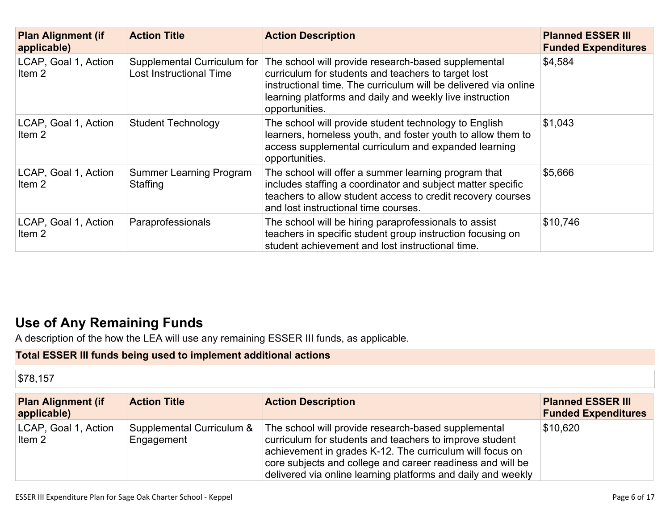| <b>Plan Alignment (if</b><br>applicable)  | <b>Action Title</b>                                           | <b>Action Description</b>                                                                                                                                                                                                                                   | <b>Planned ESSER III</b><br><b>Funded Expenditures</b> |
|-------------------------------------------|---------------------------------------------------------------|-------------------------------------------------------------------------------------------------------------------------------------------------------------------------------------------------------------------------------------------------------------|--------------------------------------------------------|
| LCAP, Goal 1, Action<br>Item 2            | Supplemental Curriculum for<br><b>Lost Instructional Time</b> | The school will provide research-based supplemental<br>curriculum for students and teachers to target lost<br>instructional time. The curriculum will be delivered via online<br>learning platforms and daily and weekly live instruction<br>opportunities. | \$4,584                                                |
| LCAP, Goal 1, Action<br>Item 2            | <b>Student Technology</b>                                     | The school will provide student technology to English<br>learners, homeless youth, and foster youth to allow them to<br>access supplemental curriculum and expanded learning<br>opportunities.                                                              | \$1,043                                                |
| LCAP, Goal 1, Action<br>Item <sub>2</sub> | <b>Summer Learning Program</b><br>Staffing                    | The school will offer a summer learning program that<br>includes staffing a coordinator and subject matter specific<br>teachers to allow student access to credit recovery courses<br>and lost instructional time courses.                                  | \$5,666                                                |
| LCAP, Goal 1, Action<br>Item <sub>2</sub> | Paraprofessionals                                             | The school will be hiring paraprofessionals to assist<br>teachers in specific student group instruction focusing on<br>student achievement and lost instructional time.                                                                                     | \$10,746                                               |

## **Use of Any [Remaining](#page-15-1) Fund[s](#page-15-1)**

A description of the how the LEA will use any remaining ESSER III funds, as applicable.

### **Total ESSER III funds being used to implement additional actions**

| \$78,157                                 |                                         |                                                                                                                                                                                                                                                                                                          |                                                        |
|------------------------------------------|-----------------------------------------|----------------------------------------------------------------------------------------------------------------------------------------------------------------------------------------------------------------------------------------------------------------------------------------------------------|--------------------------------------------------------|
| <b>Plan Alignment (if</b><br>applicable) | <b>Action Title</b>                     | <b>Action Description</b>                                                                                                                                                                                                                                                                                | <b>Planned ESSER III</b><br><b>Funded Expenditures</b> |
| LCAP, Goal 1, Action<br>Item 2           | Supplemental Curriculum &<br>Engagement | The school will provide research-based supplemental<br>curriculum for students and teachers to improve student<br>achievement in grades K-12. The curriculum will focus on<br>core subjects and college and career readiness and will be<br>delivered via online learning platforms and daily and weekly | \$10,620                                               |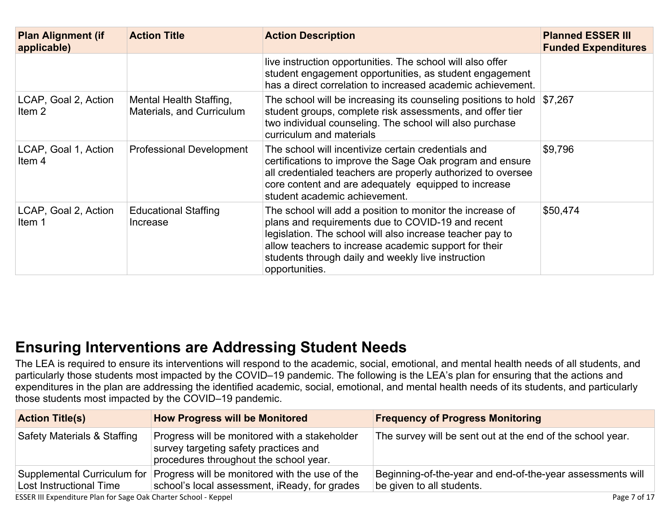| <b>Plan Alignment (if</b><br>applicable) | <b>Action Title</b>                                  | <b>Action Description</b>                                                                                                                                                                                                                                                                                    | <b>Planned ESSER III</b><br><b>Funded Expenditures</b> |
|------------------------------------------|------------------------------------------------------|--------------------------------------------------------------------------------------------------------------------------------------------------------------------------------------------------------------------------------------------------------------------------------------------------------------|--------------------------------------------------------|
|                                          |                                                      | live instruction opportunities. The school will also offer<br>student engagement opportunities, as student engagement<br>has a direct correlation to increased academic achievement.                                                                                                                         |                                                        |
| LCAP, Goal 2, Action<br>Item $2$         | Mental Health Staffing,<br>Materials, and Curriculum | The school will be increasing its counseling positions to hold $$7,267$<br>student groups, complete risk assessments, and offer tier<br>two individual counseling. The school will also purchase<br>curriculum and materials                                                                                 |                                                        |
| LCAP, Goal 1, Action<br>Item 4           | <b>Professional Development</b>                      | The school will incentivize certain credentials and<br>certifications to improve the Sage Oak program and ensure<br>all credentialed teachers are properly authorized to oversee<br>core content and are adequately equipped to increase<br>student academic achievement.                                    | \$9,796                                                |
| LCAP, Goal 2, Action<br>Item 1           | <b>Educational Staffing</b><br>Increase              | The school will add a position to monitor the increase of<br>plans and requirements due to COVID-19 and recent<br>legislation. The school will also increase teacher pay to<br>allow teachers to increase academic support for their<br>students through daily and weekly live instruction<br>opportunities. | \$50,474                                               |

## **Ensuring [Interventions](#page-15-2) are Addressing Student Need[s](#page-15-2)**

The LEA is required to ensure its interventions will respond to the academic, social, emotional, and mental health needs of all students, and particularly those students most impacted by the COVID–19 pandemic. The following is the LEA's plan for ensuring that the actions and expenditures in the plan are addressing the identified academic, social, emotional, and mental health needs of its students, and particularly those students most impacted by the COVID–19 pandemic.

| <b>Action Title(s)</b>      | <b>How Progress will be Monitored</b>                                                                                            | <b>Frequency of Progress Monitoring</b>                                                 |
|-----------------------------|----------------------------------------------------------------------------------------------------------------------------------|-----------------------------------------------------------------------------------------|
| Safety Materials & Staffing | Progress will be monitored with a stakeholder<br>survey targeting safety practices and<br>procedures throughout the school year. | The survey will be sent out at the end of the school year.                              |
| Lost Instructional Time     | Supplemental Curriculum for Progress will be monitored with the use of the<br>school's local assessment, iReady, for grades      | Beginning-of-the-year and end-of-the-year assessments will<br>be given to all students. |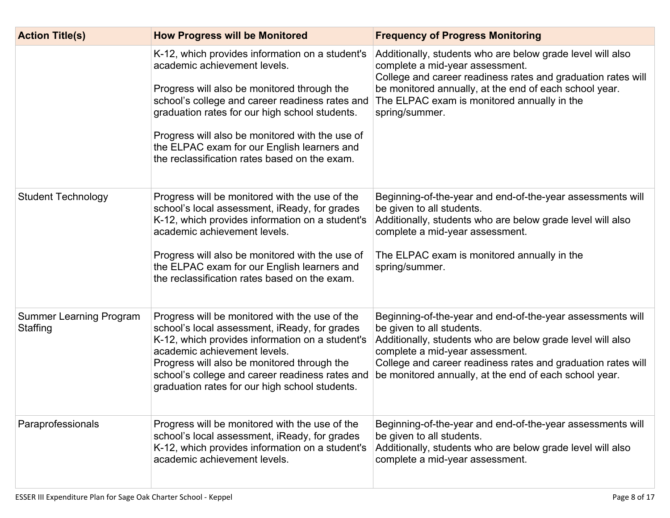| <b>Action Title(s)</b>                     | <b>How Progress will be Monitored</b>                                                                                                                                                                                                                                                                                                                                                  | <b>Frequency of Progress Monitoring</b>                                                                                                                                                                                                                                                                            |
|--------------------------------------------|----------------------------------------------------------------------------------------------------------------------------------------------------------------------------------------------------------------------------------------------------------------------------------------------------------------------------------------------------------------------------------------|--------------------------------------------------------------------------------------------------------------------------------------------------------------------------------------------------------------------------------------------------------------------------------------------------------------------|
|                                            | K-12, which provides information on a student's<br>academic achievement levels.<br>Progress will also be monitored through the<br>school's college and career readiness rates and<br>graduation rates for our high school students.<br>Progress will also be monitored with the use of<br>the ELPAC exam for our English learners and<br>the reclassification rates based on the exam. | Additionally, students who are below grade level will also<br>complete a mid-year assessment.<br>College and career readiness rates and graduation rates will<br>be monitored annually, at the end of each school year.<br>The ELPAC exam is monitored annually in the<br>spring/summer.                           |
| <b>Student Technology</b>                  | Progress will be monitored with the use of the<br>school's local assessment, iReady, for grades<br>K-12, which provides information on a student's<br>academic achievement levels.<br>Progress will also be monitored with the use of<br>the ELPAC exam for our English learners and<br>the reclassification rates based on the exam.                                                  | Beginning-of-the-year and end-of-the-year assessments will<br>be given to all students.<br>Additionally, students who are below grade level will also<br>complete a mid-year assessment.<br>The ELPAC exam is monitored annually in the<br>spring/summer.                                                          |
| <b>Summer Learning Program</b><br>Staffing | Progress will be monitored with the use of the<br>school's local assessment, iReady, for grades<br>K-12, which provides information on a student's<br>academic achievement levels.<br>Progress will also be monitored through the<br>school's college and career readiness rates and<br>graduation rates for our high school students.                                                 | Beginning-of-the-year and end-of-the-year assessments will<br>be given to all students.<br>Additionally, students who are below grade level will also<br>complete a mid-year assessment.<br>College and career readiness rates and graduation rates will<br>be monitored annually, at the end of each school year. |
| Paraprofessionals                          | Progress will be monitored with the use of the<br>school's local assessment, iReady, for grades<br>K-12, which provides information on a student's<br>academic achievement levels.                                                                                                                                                                                                     | Beginning-of-the-year and end-of-the-year assessments will<br>be given to all students.<br>Additionally, students who are below grade level will also<br>complete a mid-year assessment.                                                                                                                           |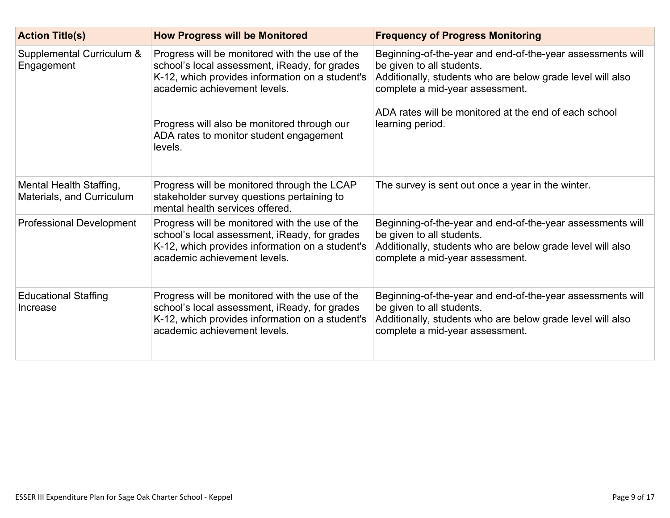| <b>Action Title(s)</b>                               | <b>How Progress will be Monitored</b>                                                                                                                                                                                                                                                   | <b>Frequency of Progress Monitoring</b>                                                                                                                                                                                                                               |
|------------------------------------------------------|-----------------------------------------------------------------------------------------------------------------------------------------------------------------------------------------------------------------------------------------------------------------------------------------|-----------------------------------------------------------------------------------------------------------------------------------------------------------------------------------------------------------------------------------------------------------------------|
| Supplemental Curriculum &<br>Engagement              | Progress will be monitored with the use of the<br>school's local assessment, iReady, for grades<br>K-12, which provides information on a student's<br>academic achievement levels.<br>Progress will also be monitored through our<br>ADA rates to monitor student engagement<br>levels. | Beginning-of-the-year and end-of-the-year assessments will<br>be given to all students.<br>Additionally, students who are below grade level will also<br>complete a mid-year assessment.<br>ADA rates will be monitored at the end of each school<br>learning period. |
|                                                      |                                                                                                                                                                                                                                                                                         |                                                                                                                                                                                                                                                                       |
| Mental Health Staffing,<br>Materials, and Curriculum | Progress will be monitored through the LCAP<br>stakeholder survey questions pertaining to<br>mental health services offered.                                                                                                                                                            | The survey is sent out once a year in the winter.                                                                                                                                                                                                                     |
| <b>Professional Development</b>                      | Progress will be monitored with the use of the<br>school's local assessment, iReady, for grades<br>K-12, which provides information on a student's<br>academic achievement levels.                                                                                                      | Beginning-of-the-year and end-of-the-year assessments will<br>be given to all students.<br>Additionally, students who are below grade level will also<br>complete a mid-year assessment.                                                                              |
| <b>Educational Staffing</b><br>Increase              | Progress will be monitored with the use of the<br>school's local assessment, iReady, for grades<br>K-12, which provides information on a student's<br>academic achievement levels.                                                                                                      | Beginning-of-the-year and end-of-the-year assessments will<br>be given to all students.<br>Additionally, students who are below grade level will also<br>complete a mid-year assessment.                                                                              |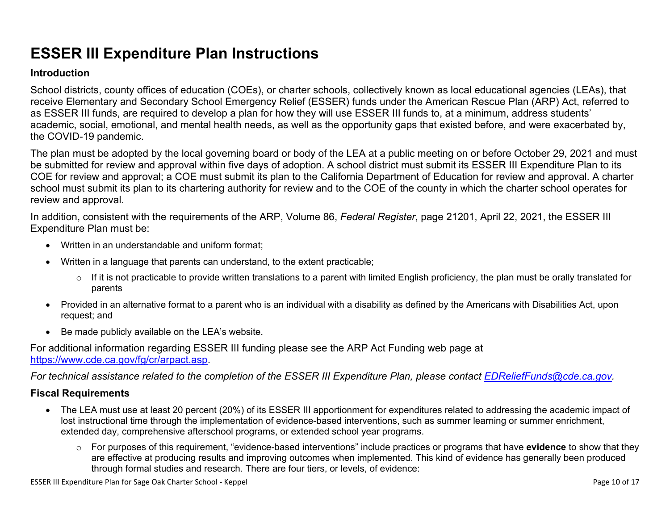# **ESSER III Expenditure Plan Instructions**

#### **Introduction**

School districts, county offices of education (COEs), or charter schools, collectively known as local educational agencies (LEAs), that receive Elementary and Secondary School Emergency Relief (ESSER) funds under the American Rescue Plan (ARP) Act, referred to as ESSER III funds, are required to develop a plan for how they will use ESSER III funds to, at a minimum, address students' academic, social, emotional, and mental health needs, as well as the opportunity gaps that existed before, and were exacerbated by, the COVID-19 pandemic.

The plan must be adopted by the local governing board or body of the LEA at a public meeting on or before October 29, 2021 and must be submitted for review and approval within five days of adoption. A school district must submit its ESSER III Expenditure Plan to its COE for review and approval; a COE must submit its plan to the California Department of Education for review and approval. A charter school must submit its plan to its chartering authority for review and to the COE of the county in which the charter school operates for review and approval.

In addition, consistent with the requirements of the ARP, Volume 86, *Federal Register*, page 21201, April 22, 2021, the ESSER III Expenditure Plan must be:

- Written in an understandable and uniform format;
- Written in a language that parents can understand, to the extent practicable;
	- $\circ$  If it is not practicable to provide written translations to a parent with limited English proficiency, the plan must be orally translated for parents
- Provided in an alternative format to a parent who is an individual with a disability as defined by the Americans with Disabilities Act, upon request; and
- Be made publicly available on the LEA's website.

For additional information regarding ESSER III funding please see the ARP Act Funding web page at <https://www.cde.ca.gov/fg/cr/arpact.asp>.

For technical assistance related to the completion of the ESSER III Expenditure Plan, please contact [EDReliefFunds@cde.ca.gov](mailto:EDReliefFunds@cde.ca.gov).

#### **Fiscal Requirements**

- The LEA must use at least 20 percent (20%) of its ESSER III apportionment for expenditures related to addressing the academic impact of lost instructional time through the implementation of evidence-based interventions, such as summer learning or summer enrichment, extended day, comprehensive afterschool programs, or extended school year programs.
	- o For purposes of this requirement, "evidence-based interventions" include practices or programs that have **evidence** to show that they are effective at producing results and improving outcomes when implemented. This kind of evidence has generally been produced through formal studies and research. There are four tiers, or levels, of evidence:

ESSER III Expenditure Plan for Sage Oak Charter School - Keppel **Page 10** of 17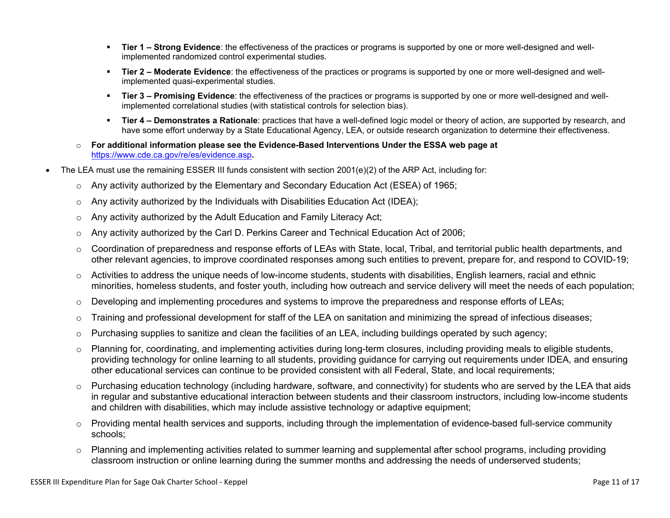- **Tier 1 – Strong Evidence**: the effectiveness of the practices or programs is supported by one or more well-designed and wellimplemented randomized control experimental studies.
- **Tier 2 – Moderate Evidence**: the effectiveness of the practices or programs is supported by one or more well-designed and wellimplemented quasi-experimental studies.
- **Tier 3 – Promising Evidence**: the effectiveness of the practices or programs is supported by one or more well-designed and wellimplemented correlational studies (with statistical controls for selection bias).
- **Tier 4 – Demonstrates a Rationale**: practices that have a well-defined logic model or theory of action, are supported by research, and have some effort underway by a State Educational Agency, LEA, or outside research organization to determine their effectiveness.
- o **For additional information please see the Evidence-Based Interventions Under the ESSA web page at** <https://www.cde.ca.gov/re/es/evidence.asp>**.**
- The LEA must use the remaining ESSER III funds consistent with section 2001(e)(2) of the ARP Act, including for:
	- $\circ$  Any activity authorized by the Elementary and Secondary Education Act (ESEA) of 1965;
	- $\circ$  Any activity authorized by the Individuals with Disabilities Education Act (IDEA);
	- o Any activity authorized by the Adult Education and Family Literacy Act;
	- $\circ$  Any activity authorized by the Carl D. Perkins Career and Technical Education Act of 2006;
	- $\circ$  Coordination of preparedness and response efforts of LEAs with State, local, Tribal, and territorial public health departments, and other relevant agencies, to improve coordinated responses among such entities to prevent, prepare for, and respond to COVID-19;
	- $\circ$  Activities to address the unique needs of low-income students, students with disabilities, English learners, racial and ethnic minorities, homeless students, and foster youth, including how outreach and service delivery will meet the needs of each population;
	- o Developing and implementing procedures and systems to improve the preparedness and response efforts of LEAs;
	- $\circ$  Training and professional development for staff of the LEA on sanitation and minimizing the spread of infectious diseases;
	- $\circ$  Purchasing supplies to sanitize and clean the facilities of an LEA, including buildings operated by such agency;
	- $\circ$  Planning for, coordinating, and implementing activities during long-term closures, including providing meals to eligible students, providing technology for online learning to all students, providing guidance for carrying out requirements under IDEA, and ensuring other educational services can continue to be provided consistent with all Federal, State, and local requirements;
	- $\circ$  Purchasing education technology (including hardware, software, and connectivity) for students who are served by the LEA that aids in regular and substantive educational interaction between students and their classroom instructors, including low-income students and children with disabilities, which may include assistive technology or adaptive equipment;
	- $\circ$  Providing mental health services and supports, including through the implementation of evidence-based full-service community schools;
	- o Planning and implementing activities related to summer learning and supplemental after school programs, including providing classroom instruction or online learning during the summer months and addressing the needs of underserved students;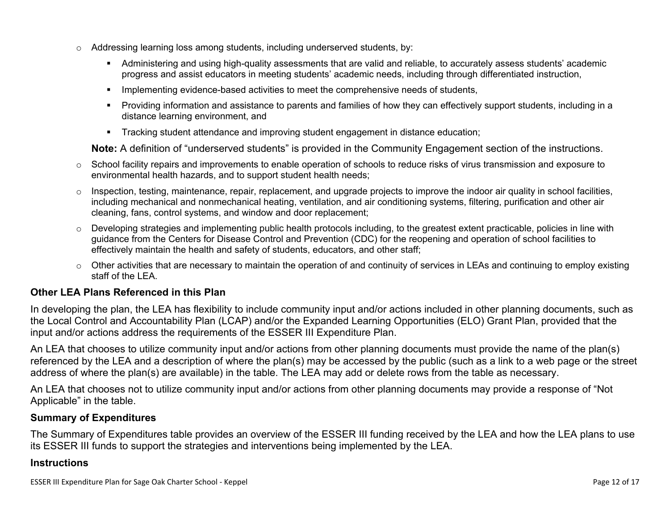- $\circ$  Addressing learning loss among students, including underserved students, by:
	- Administering and using high-quality assessments that are valid and reliable, to accurately assess students' academic progress and assist educators in meeting students' academic needs, including through differentiated instruction,
	- **IMPLEMENTER IMPLEMENT LIME STARK IMPLEMENT IMPLEMENT IMPLY** Implementing evidents,
	- Providing information and assistance to parents and families of how they can effectively support students, including in a distance learning environment, and
	- Tracking student attendance and improving student engagement in distance education;

**Note:** A definition of "underserved students" is provided in the Community Engagement section of the instructions.

- $\circ$  School facility repairs and improvements to enable operation of schools to reduce risks of virus transmission and exposure to environmental health hazards, and to support student health needs;
- $\circ$  Inspection, testing, maintenance, repair, replacement, and upgrade projects to improve the indoor air quality in school facilities, including mechanical and nonmechanical heating, ventilation, and air conditioning systems, filtering, purification and other air cleaning, fans, control systems, and window and door replacement;
- $\circ$  Developing strategies and implementing public health protocols including, to the greatest extent practicable, policies in line with guidance from the Centers for Disease Control and Prevention (CDC) for the reopening and operation of school facilities to effectively maintain the health and safety of students, educators, and other staff;
- $\circ$  Other activities that are necessary to maintain the operation of and continuity of services in LEAs and continuing to employ existing staff of the LEA.

#### <span id="page-11-0"></span>**Other LEA Plans Referenced in this Plan**

In developing the plan, the LEA has flexibility to include community input and/or actions included in other planning documents, such as the Local Control and Accountability Plan (LCAP) and/or the Expanded Learning Opportunities (ELO) Grant Plan, provided that the input and/or actions address the requirements of the ESSER III Expenditure Plan.

An LEA that chooses to utilize community input and/or actions from other planning documents must provide the name of the plan(s) referenced by the LEA and a description of where the plan(s) may be accessed by the public (such as a link to a web page or the street address of where the plan(s) are available) in the table. The LEA may add or delete rows from the table as necessary.

An LEA that chooses not to utilize community input and/or actions from other planning documents may provide a response of "Not Applicable" in the table.

#### <span id="page-11-1"></span>**Summary of Expenditures**

The Summary of Expenditures table provides an overview of the ESSER III funding received by the LEA and how the LEA plans to use its ESSER III funds to support the strategies and interventions being implemented by the LEA.

#### **Instructions**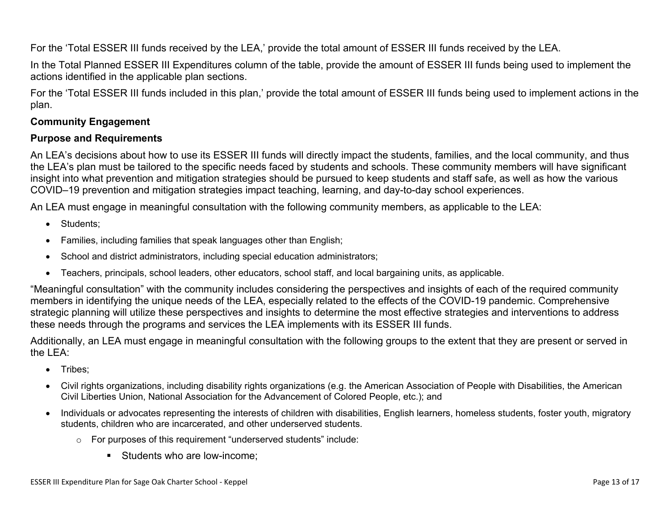For the 'Total ESSER III funds received by the LEA,' provide the total amount of ESSER III funds received by the LEA.

In the Total Planned ESSER III Expenditures column of the table, provide the amount of ESSER III funds being used to implement the actions identified in the applicable plan sections.

For the 'Total ESSER III funds included in this plan,' provide the total amount of ESSER III funds being used to implement actions in the plan.

#### <span id="page-12-0"></span>**Community Engagement**

#### **Purpose and Requirements**

An LEA's decisions about how to use its ESSER III funds will directly impact the students, families, and the local community, and thus the LEA's plan must be tailored to the specific needs faced by students and schools. These community members will have significant insight into what prevention and mitigation strategies should be pursued to keep students and staff safe, as well as how the various COVID–19 prevention and mitigation strategies impact teaching, learning, and day-to-day school experiences.

An LEA must engage in meaningful consultation with the following community members, as applicable to the LEA:

- Students:
- Families, including families that speak languages other than English;
- School and district administrators, including special education administrators;
- Teachers, principals, school leaders, other educators, school staff, and local bargaining units, as applicable.

"Meaningful consultation" with the community includes considering the perspectives and insights of each of the required community members in identifying the unique needs of the LEA, especially related to the effects of the COVID-19 pandemic. Comprehensive strategic planning will utilize these perspectives and insights to determine the most effective strategies and interventions to address these needs through the programs and services the LEA implements with its ESSER III funds.

Additionally, an LEA must engage in meaningful consultation with the following groups to the extent that they are present or served in the LEA:

- Tribes;
- Civil rights organizations, including disability rights organizations (e.g. the American Association of People with Disabilities, the American Civil Liberties Union, National Association for the Advancement of Colored People, etc.); and
- Individuals or advocates representing the interests of children with disabilities, English learners, homeless students, foster youth, migratory students, children who are incarcerated, and other underserved students.
	- o For purposes of this requirement "underserved students" include:
		- **Students who are low-income:**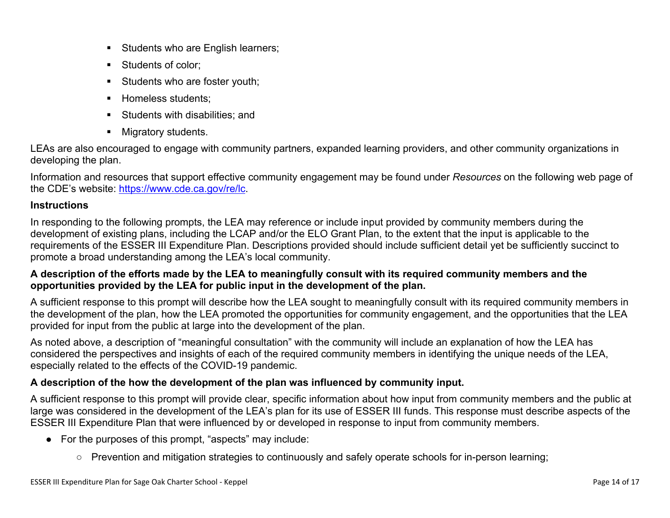- Students who are English learners;
- Students of color:
- Students who are foster youth;
- Homeless students;
- **Students with disabilities: and**
- **Migratory students.**

LEAs are also encouraged to engage with community partners, expanded learning providers, and other community organizations in developing the plan.

Information and resources that support effective community engagement may be found under *Resources* on the following web page of the CDE's website: <https://www.cde.ca.gov/re/lc>.

#### **Instructions**

In responding to the following prompts, the LEA may reference or include input provided by community members during the development of existing plans, including the LCAP and/or the ELO Grant Plan, to the extent that the input is applicable to the requirements of the ESSER III Expenditure Plan. Descriptions provided should include sufficient detail yet be sufficiently succinct to promote a broad understanding among the LEA's local community.

#### A description of the efforts made by the LEA to meaningfully consult with its required community members and the **opportunities provided by the LEA for public input in the development of the plan.**

A sufficient response to this prompt will describe how the LEA sought to meaningfully consult with its required community members in the development of the plan, how the LEA promoted the opportunities for community engagement, and the opportunities that the LEA provided for input from the public at large into the development of the plan.

As noted above, a description of "meaningful consultation" with the community will include an explanation of how the LEA has considered the perspectives and insights of each of the required community members in identifying the unique needs of the LEA, especially related to the effects of the COVID-19 pandemic.

#### **A description of the how the development of the plan was influenced by community input.**

A sufficient response to this prompt will provide clear, specific information about how input from community members and the public at large was considered in the development of the LEA's plan for its use of ESSER III funds. This response must describe aspects of the ESSER III Expenditure Plan that were influenced by or developed in response to input from community members.

- For the purposes of this prompt, "aspects" may include:
	- Prevention and mitigation strategies to continuously and safely operate schools for in-person learning;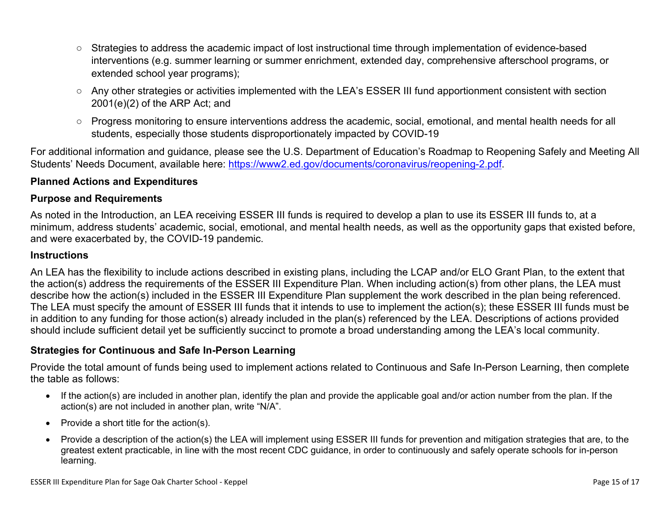- Strategies to address the academic impact of lost instructional time through implementation of evidence-based interventions (e.g. summer learning or summer enrichment, extended day, comprehensive afterschool programs, or extended school year programs);
- Any other strategies or activities implemented with the LEA's ESSER III fund apportionment consistent with section 2001(e)(2) of the ARP Act; and
- Progress monitoring to ensure interventions address the academic, social, emotional, and mental health needs for all students, especially those students disproportionately impacted by COVID-19

For additional information and guidance, please see the U.S. Department of Education's Roadmap to Reopening Safely and Meeting All Students' Needs Document, available here: [https://www2.ed.gov/documents/coronavirus/reopening-2.pdf.](https://www2.ed.gov/documents/coronavirus/reopening-2.pdf)

#### <span id="page-14-0"></span>**Planned Actions and Expenditures**

#### **Purpose and Requirements**

As noted in the Introduction, an LEA receiving ESSER III funds is required to develop a plan to use its ESSER III funds to, at a minimum, address students' academic, social, emotional, and mental health needs, as well as the opportunity gaps that existed before, and were exacerbated by, the COVID-19 pandemic.

#### **Instructions**

An LEA has the flexibility to include actions described in existing plans, including the LCAP and/or ELO Grant Plan, to the extent that the action(s) address the requirements of the ESSER III Expenditure Plan. When including action(s) from other plans, the LEA must describe how the action(s) included in the ESSER III Expenditure Plan supplement the work described in the plan being referenced. The LEA must specify the amount of ESSER III funds that it intends to use to implement the action(s); these ESSER III funds must be in addition to any funding for those action(s) already included in the plan(s) referenced by the LEA. Descriptions of actions provided should include sufficient detail yet be sufficiently succinct to promote a broad understanding among the LEA's local community.

#### <span id="page-14-1"></span>**Strategies for Continuous and Safe In-Person Learning**

Provide the total amount of funds being used to implement actions related to Continuous and Safe In-Person Learning, then complete the table as follows:

- If the action(s) are included in another plan, identify the plan and provide the applicable goal and/or action number from the plan. If the action(s) are not included in another plan, write "N/A".
- Provide a short title for the  $action(s)$ .
- Provide a description of the action(s) the LEA will implement using ESSER III funds for prevention and mitigation strategies that are, to the greatest extent practicable, in line with the most recent CDC guidance, in order to continuously and safely operate schools for in-person learning.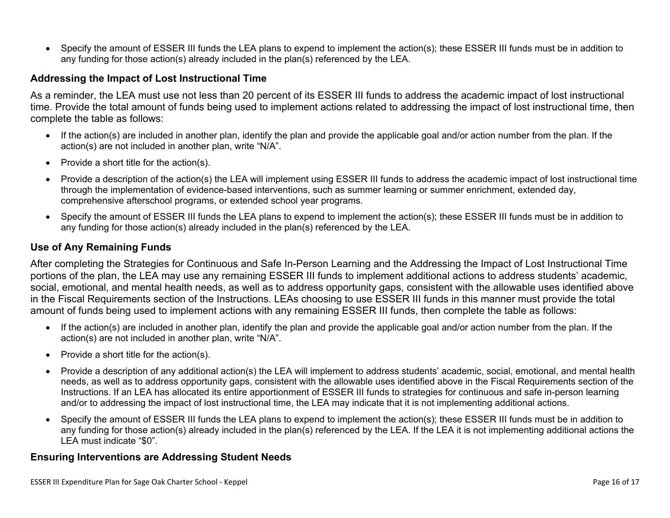Specify the amount of ESSER III funds the LEA plans to expend to implement the action(s); these ESSER III funds must be in addition to any funding for those action(s) already included in the plan(s) referenced by the LEA.

#### <span id="page-15-0"></span>**Addressing the Impact of Lost Instructional Time**

As a reminder, the LEA must use not less than 20 percent of its ESSER III funds to address the academic impact of lost instructional time. Provide the total amount of funds being used to implement actions related to addressing the impact of lost instructional time, then complete the table as follows:

- If the action(s) are included in another plan, identify the plan and provide the applicable goal and/or action number from the plan. If the action(s) are not included in another plan, write "N/A".
- Provide a short title for the  $action(s)$ .
- Provide a description of the action(s) the LEA will implement using ESSER III funds to address the academic impact of lost instructional time through the implementation of evidence-based interventions, such as summer learning or summer enrichment, extended day, comprehensive afterschool programs, or extended school year programs.
- Specify the amount of ESSER III funds the LEA plans to expend to implement the action(s); these ESSER III funds must be in addition to any funding for those action(s) already included in the plan(s) referenced by the LEA.

#### <span id="page-15-1"></span>**Use of Any Remaining Funds**

After completing the Strategies for Continuous and Safe In-Person Learning and the Addressing the Impact of Lost Instructional Time portions of the plan, the LEA may use any remaining ESSER III funds to implement additional actions to address students' academic, social, emotional, and mental health needs, as well as to address opportunity gaps, consistent with the allowable uses identified above in the Fiscal Requirements section of the Instructions. LEAs choosing to use ESSER III funds in this manner must provide the total amount of funds being used to implement actions with any remaining ESSER III funds, then complete the table as follows:

- If the action(s) are included in another plan, identify the plan and provide the applicable goal and/or action number from the plan. If the action(s) are not included in another plan, write "N/A".
- Provide a short title for the  $action(s)$ .
- Provide a description of any additional action(s) the LEA will implement to address students' academic, social, emotional, and mental health needs, as well as to address opportunity gaps, consistent with the allowable uses identified above in the Fiscal Requirements section of the Instructions. If an LEA has allocated its entire apportionment of ESSER III funds to strategies for continuous and safe in-person learning and/or to addressing the impact of lost instructional time, the LEA may indicate that it is not implementing additional actions.
- Specify the amount of ESSER III funds the LEA plans to expend to implement the action(s); these ESSER III funds must be in addition to any funding for those action(s) already included in the plan(s) referenced by the LEA. If the LEA it is not implementing additional actions the LEA must indicate "\$0".

#### <span id="page-15-2"></span>**Ensuring Interventions are Addressing Student Needs**